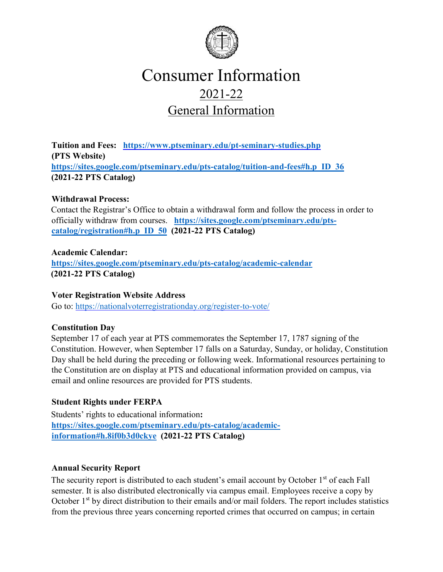

## Consumer Information 2021-22 General Information

**Tuition and Fees: <https://www.ptseminary.edu/pt-seminary-studies.php> (PTS Website) [https://sites.google.com/ptseminary.edu/pts-catalog/tuition-and-fees#h.p\\_ID\\_36](https://sites.google.com/ptseminary.edu/pts-catalog/tuition-and-fees#h.p_ID_36) [\(2](https://sites.google.com/a/ptseminary.edu/pts-catalog/tuition-and-fees#TOC-TUITION-AND-FEES)021-22 PTS Catalog)** 

#### **Withdrawal Process:**

Contact the Registrar's Office to obtain a withdrawal form and follow the process in order to officially withdraw from courses. **[https://sites.google.com/ptseminary.edu/pts](https://sites.google.com/ptseminary.edu/pts-catalog/registration#h.p_ID_50)[catalog/registration#h.p\\_ID\\_50](https://sites.google.com/ptseminary.edu/pts-catalog/registration#h.p_ID_50) (2021-22 PTS Catalog)**

#### **Academic Calendar:**

**<https://sites.google.com/ptseminary.edu/pts-catalog/academic-calendar> [\(2](https://sites.google.com/a/ptseminary.edu/pts-catalog/academic-calendar)021-22 PTS Catalog)**

#### **Voter Registration Website Address**

Go to:<https://nationalvoterregistrationday.org/register-to-vote/>

#### **Constitution Day**

September 17 of each year at PTS commemorates the September 17, 1787 signing of the Constitution. However, when September 17 falls on a Saturday, Sunday, or holiday, Constitution Day shall be held during the preceding or following week. Informational resources pertaining to the Constitution are on display at PTS and educational information provided on campus, via email and online resources are provided for PTS students.

## **Student Rights under FERPA**

Students' rights to educational information**: [https://sites.google.com/ptseminary.edu/pts-catalog/academic](https://sites.google.com/ptseminary.edu/pts-catalog/academic-information#h.8if0b3d0ckye)[information#h.8if0b3d0ckye](https://sites.google.com/ptseminary.edu/pts-catalog/academic-information#h.8if0b3d0ckye) [\(](https://sites.google.com/a/ptseminary.edu/pts-catalog/academic-information#TOC-FERPA)2021-22 PTS Catalog)** 

#### **Annual Security Report**

The security report is distributed to each student's email account by October 1st of each Fall semester. It is also distributed electronically via campus email. Employees receive a copy by October 1<sup>st</sup> by direct distribution to their emails and/or mail folders. The report includes statistics from the previous three years concerning reported crimes that occurred on campus; in certain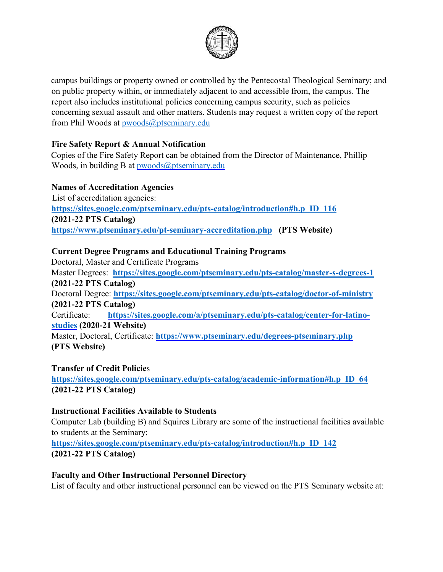

campus buildings or property owned or controlled by the Pentecostal Theological Seminary; and on public property within, or immediately adjacent to and accessible from, the campus. The report also includes institutional policies concerning campus security, such as policies concerning sexual assault and other matters. Students may request a written copy of the report from Phil Woods at pwoods@ptseminary.edu

#### **Fire Safety Report & Annual Notification**

Copies of the Fire Safety Report can be obtained from the Director of Maintenance, Phillip Woods, in building B at  $p$ woods $\omega$ ptseminary.edu

#### **Names of Accreditation Agencies**

List of accreditation agencies: **[https://sites.google.com/ptseminary.edu/pts-catalog/introduction#h.p\\_ID\\_116](https://sites.google.com/ptseminary.edu/pts-catalog/introduction#h.p_ID_116) (2021-22 PTS Catalog) <https://www.ptseminary.edu/pt-seminary-accreditation.php>****(PTS Website)**

#### **Current Degree Programs and Educational Training Programs**

Doctoral, Master and Certificate Programs Master Degrees: **<https://sites.google.com/ptseminary.edu/pts-catalog/master-s-degrees-1>** **(2021-22 PTS Catalog)**  Doctoral Degree: **<https://sites.google.com/ptseminary.edu/pts-catalog/doctor-of-ministry>** **(2021-22 PTS Catalog)**  Certificate: **[https://sites.google.com/a/ptseminary.edu/pts-catalog/center-for-latino](https://sites.google.com/a/ptseminary.edu/pts-catalog/center-for-latino-studies)[studies](https://sites.google.com/a/ptseminary.edu/pts-catalog/center-for-latino-studies) [\(](https://sites.google.com/a/ptseminary.edu/pts-catalog/center-for-latino-studies)2020-21 Website)**  Master, Doctoral, Certificate: **<https://www.ptseminary.edu/degrees-ptseminary.php>** **(PTS Website)** 

#### **Transfer of Credit Policie**s

**[https://sites.google.com/ptseminary.edu/pts-catalog/academic-information#h.p\\_ID\\_64](https://sites.google.com/ptseminary.edu/pts-catalog/academic-information#h.p_ID_64) (2021-22 PTS Catalog)**

#### **Instructional Facilities Available to Students**

Computer Lab (building B) and Squires Library are some of the instructional facilities available to students at the Seminary:

**[https://sites.google.com/ptseminary.edu/pts-catalog/introduction#h.p\\_ID\\_142](https://sites.google.com/ptseminary.edu/pts-catalog/introduction#h.p_ID_142) [\(2](https://sites.google.com/a/ptseminary.edu/pts-catalog/introduction#TOC-PHYSICAL-FACILITIES)021-22 PTS Catalog)** 

#### **Faculty and Other Instructional Personnel Directory**

List of faculty and other instructional personnel can be viewed on the PTS Seminary website at: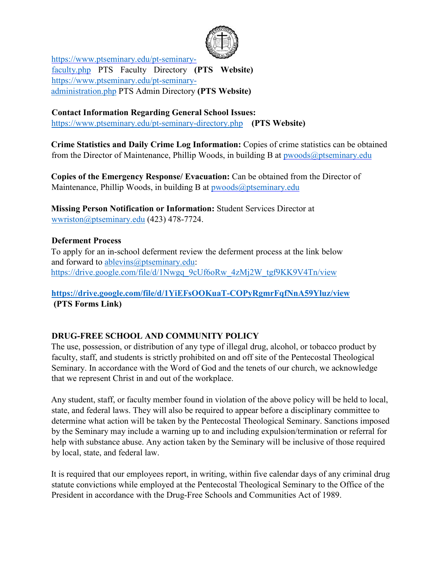

[https://www.ptseminary.edu/pt-seminary](https://www.ptseminary.edu/pt-seminary-faculty.php)[faculty.php](https://www.ptseminary.edu/pt-seminary-faculty.php) [PT](https://www.ptseminary.edu/pt-seminary-faculty.php)S Faculty Directory **(PTS Website)**  [https://www.ptseminary.edu/pt-seminary](https://www.ptseminary.edu/pt-seminary-administration.php)[administration.php](https://www.ptseminary.edu/pt-seminary-administration.php) [PT](https://www.ptseminary.edu/pt-seminary-administration.php)S Admin Directory **(PTS Website)**

**Contact Information Regarding General School Issues:** 

<https://www.ptseminary.edu/pt-seminary-directory.php>**(PTS Website)**

**Crime Statistics and Daily Crime Log Information:** Copies of crime statistics can be obtained from the Director of Maintenance, Phillip Woods, in building B at  $pwoods@ptseminary.edu$ 

**Copies of the Emergency Response/ Evacuation:** Can be obtained from the Director of Maintenance, Phillip Woods, in building B at pwoods@ptseminary.edu

**Missing Person Notification or Information:** Student Services Director at wwriston@ptseminary.edu (423) 478-7724.

#### **Deferment Process**

To apply for an in-school deferment review the deferment process at the link below and forward to ablevins@ptseminary.edu: [https://drive.google.com/file/d/1Nwgq\\_9cUf6oRw\\_4zMj2W\\_tgf9KK9V4Tn/view](https://drive.google.com/file/d/1Nwgq_9cUf6oRw_4zMj2W_tgf9KK9V4Tn/view)

## **<https://drive.google.com/file/d/1YiEFsOOKuaT-COPyRgmrFqfNnA59Yluz/view> (PTS Forms Link)**

## **DRUG-FREE SCHOOL AND COMMUNITY POLICY**

The use, possession, or distribution of any type of illegal drug, alcohol, or tobacco product by faculty, staff, and students is strictly prohibited on and off site of the Pentecostal Theological Seminary. In accordance with the Word of God and the tenets of our church, we acknowledge that we represent Christ in and out of the workplace.

Any student, staff, or faculty member found in violation of the above policy will be held to local, state, and federal laws. They will also be required to appear before a disciplinary committee to determine what action will be taken by the Pentecostal Theological Seminary. Sanctions imposed by the Seminary may include a warning up to and including expulsion/termination or referral for help with substance abuse. Any action taken by the Seminary will be inclusive of those required by local, state, and federal law.

It is required that our employees report, in writing, within five calendar days of any criminal drug statute convictions while employed at the Pentecostal Theological Seminary to the Office of the President in accordance with the Drug-Free Schools and Communities Act of 1989.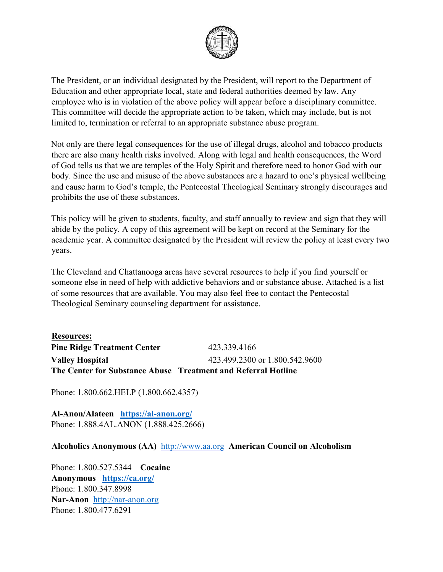

The President, or an individual designated by the President, will report to the Department of Education and other appropriate local, state and federal authorities deemed by law. Any employee who is in violation of the above policy will appear before a disciplinary committee. This committee will decide the appropriate action to be taken, which may include, but is not limited to, termination or referral to an appropriate substance abuse program.

Not only are there legal consequences for the use of illegal drugs, alcohol and tobacco products there are also many health risks involved. Along with legal and health consequences, the Word of God tells us that we are temples of the Holy Spirit and therefore need to honor God with our body. Since the use and misuse of the above substances are a hazard to one's physical wellbeing and cause harm to God's temple, the Pentecostal Theological Seminary strongly discourages and prohibits the use of these substances.

This policy will be given to students, faculty, and staff annually to review and sign that they will abide by the policy. A copy of this agreement will be kept on record at the Seminary for the academic year. A committee designated by the President will review the policy at least every two years.

The Cleveland and Chattanooga areas have several resources to help if you find yourself or someone else in need of help with addictive behaviors and or substance abuse. Attached is a list of some resources that are available. You may also feel free to contact the Pentecostal Theological Seminary counseling department for assistance.

**Resources: Pine Ridge Treatment Center** 423.339.4166 **Valley Hospital** 423.499.2300 or 1.800.542.9600 **The Center for Substance Abuse Treatment and Referral Hotline**

Phone: 1.800.662.HELP (1.800.662.4357)

**Al-Anon/Alateen <https://al-anon.org/>** Phone: 1.888.4AL.ANON (1.888.425.2666)

**Alcoholics Anonymous (AA)** [http://www.aa.org](http://www.aa.org/) **[A](http://www.aa.org/)merican Council on Alcoholism** 

Phone: 1.800.527.5344 **Cocaine Anonymous <https://ca.org/>** Phone: 1.800.347.8998 **Nar-Anon** [http://nar-anon.org](http://nar-anon.org/) Phone: 1.800.477.6291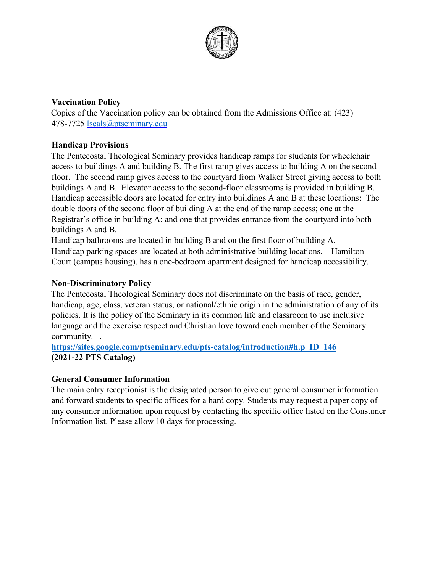

#### **Vaccination Policy**

Copies of the Vaccination policy can be obtained from the Admissions Office at: (423) 478-7725 lseals@ptseminary.edu

## **Handicap Provisions**

The Pentecostal Theological Seminary provides handicap ramps for students for wheelchair access to buildings A and building B. The first ramp gives access to building A on the second floor. The second ramp gives access to the courtyard from Walker Street giving access to both buildings A and B. Elevator access to the second-floor classrooms is provided in building B. Handicap accessible doors are located for entry into buildings A and B at these locations: The double doors of the second floor of building A at the end of the ramp access; one at the Registrar's office in building A; and one that provides entrance from the courtyard into both buildings A and B.

Handicap bathrooms are located in building B and on the first floor of building A. Handicap parking spaces are located at both administrative building locations. Hamilton Court (campus housing), has a one-bedroom apartment designed for handicap accessibility.

## **Non-Discriminatory Policy**

The Pentecostal Theological Seminary does not discriminate on the basis of race, gender, handicap, age, class, veteran status, or national/ethnic origin in the administration of any of its policies. It is the policy of the Seminary in its common life and classroom to use inclusive language and the exercise respect and Christian love toward each member of the Seminary community. .

**[https://sites.google.com/ptseminary.edu/pts-catalog/introduction#h.p\\_ID\\_146](https://sites.google.com/ptseminary.edu/pts-catalog/introduction#h.p_ID_146)** **(2021-22 PTS Catalog)** 

## **General Consumer Information**

The main entry receptionist is the designated person to give out general consumer information and forward students to specific offices for a hard copy. Students may request a paper copy of any consumer information upon request by contacting the specific office listed on the Consumer Information list. Please allow 10 days for processing.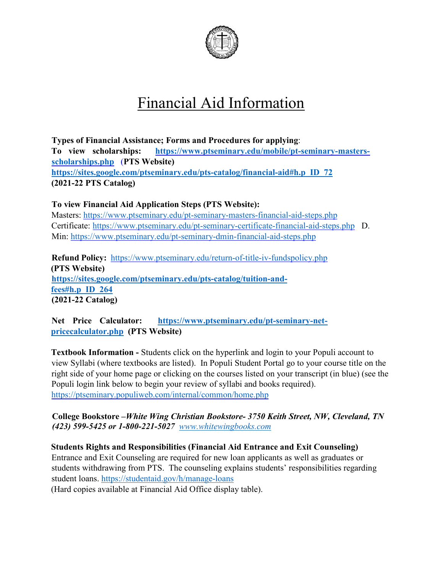

# Financial Aid Information

**Types of Financial Assistance; Forms and Procedures for applying**: **To view scholarships: [https://www.ptseminary.edu/mobile/pt-seminary-masters](https://www.ptseminary.edu/mobile/pt-seminary-masters-scholarships.php)[scholarships.php](https://www.ptseminary.edu/mobile/pt-seminary-masters-scholarships.php)**(**PTS Website) [https://sites.google.com/ptseminary.edu/pts-catalog/financial-aid#h.p\\_ID\\_72](https://sites.google.com/ptseminary.edu/pts-catalog/financial-aid#h.p_ID_72) (2021-22 PTS Catalog)**

**To view Financial Aid Application Steps (PTS Website):** Masters:<https://www.ptseminary.edu/pt-seminary-masters-financial-aid-steps.php> Certificate:<https://www.ptseminary.edu/pt-seminary-certificate-financial-aid-steps.php>D. Min:<https://www.ptseminary.edu/pt-seminary-dmin-financial-aid-steps.php>

**Refund Policy:** [https://www.ptseminary.edu/return-of-title-iv-fundspolicy.php](https://www.ptseminary.edu/return-of-title-iv-funds-policy.php)  **(PTS Website) [https://sites.google.com/ptseminary.edu/pts-catalog/tuition-and](https://sites.google.com/ptseminary.edu/pts-catalog/tuition-and-fees#h.p_ID_264)[fees#h.p\\_ID\\_264](https://sites.google.com/ptseminary.edu/pts-catalog/tuition-and-fees#h.p_ID_264) (2021-22 Catalog)** 

**Net Price Calculator: [https://www.ptseminary.edu/pt-seminary-net](https://www.ptseminary.edu/pt-seminary-net-price-calculator.php)[pricecalculator.php \(](https://www.ptseminary.edu/pt-seminary-net-price-calculator.php)PTS Website)**

**Textbook Information -** Students click on the hyperlink and login to your Populi account to view Syllabi (where textbooks are listed). In Populi Student Portal go to your course title on the right side of your home page or clicking on the courses listed on your transcript (in blue) (see the Populi login link below to begin your review of syllabi and books required). <https://ptseminary.populiweb.com/internal/common/home.php>

**College Bookstore –***White Wing Christian Bookstore- 3750 [Kei](http://www.whitewingbooks.com/)th Street, NW, Cleveland, TN (423) 599-5425 or 1-800-221-5027[www.whitewingbooks.com](http://www.whitewingbooks.com/)*

**Students Rights and Responsibilities (Financial Aid Entrance and Exit Counseling)**  Entrance and Exit Counseling are required for new loan applicants as well as graduates or students withdrawing from PTS. The counseling explains students' responsibilities regarding student loans.<https://studentaid.gov/h/manage-loans>

(Hard copies available at Financial Aid Office display table).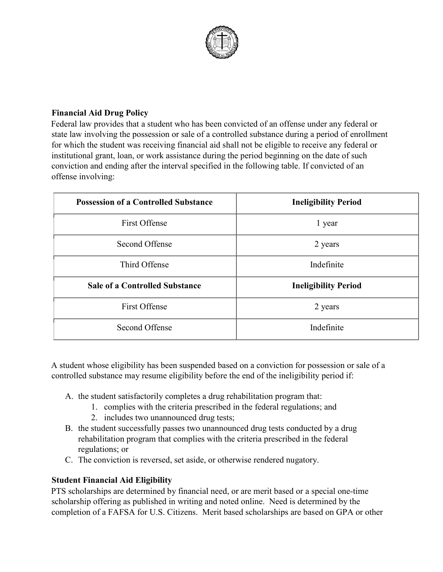

#### **Financial Aid Drug Policy**

Federal law provides that a student who has been convicted of an offense under any federal or state law involving the possession or sale of a controlled substance during a period of enrollment for which the student was receiving financial aid shall not be eligible to receive any federal or institutional grant, loan, or work assistance during the period beginning on the date of such conviction and ending after the interval specified in the following table. If convicted of an offense involving:

| <b>Possession of a Controlled Substance</b> | <b>Ineligibility Period</b> |
|---------------------------------------------|-----------------------------|
| <b>First Offense</b>                        | 1 year                      |
| Second Offense                              | 2 years                     |
| Third Offense                               | Indefinite                  |
| <b>Sale of a Controlled Substance</b>       | <b>Ineligibility Period</b> |
| <b>First Offense</b>                        | 2 years                     |
| Second Offense                              | Indefinite                  |

A student whose eligibility has been suspended based on a conviction for possession or sale of a controlled substance may resume eligibility before the end of the ineligibility period if:

- A. the student satisfactorily completes a drug rehabilitation program that:
	- 1. complies with the criteria prescribed in the federal regulations; and
	- 2. includes two unannounced drug tests;
- B. the student successfully passes two unannounced drug tests conducted by a drug rehabilitation program that complies with the criteria prescribed in the federal regulations; or
- C. The conviction is reversed, set aside, or otherwise rendered nugatory.

#### **Student Financial Aid Eligibility**

PTS scholarships are determined by financial need, or are merit based or a special one-time scholarship offering as published in writing and noted online. Need is determined by the completion of a FAFSA for U.S. Citizens. Merit based scholarships are based on GPA or other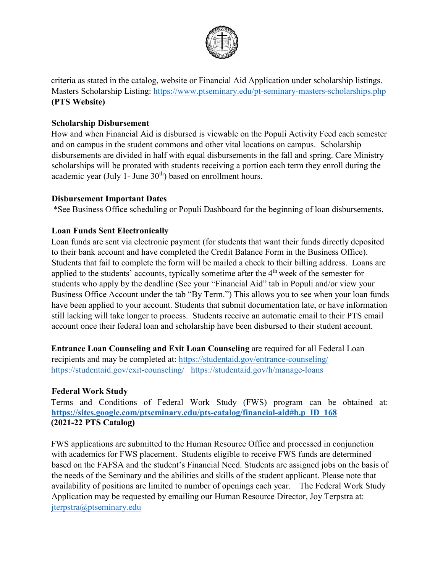

criteria as stated in the catalog, website or Financial Aid Application under scholarship listings. Masters Scholarship Listing:<https://www.ptseminary.edu/pt-seminary-masters-scholarships.php> **(PTS Website)** 

#### **Scholarship Disbursement**

How and when Financial Aid is disbursed is viewable on the Populi Activity Feed each semester and on campus in the student commons and other vital locations on campus. Scholarship disbursements are divided in half with equal disbursements in the fall and spring. Care Ministry scholarships will be prorated with students receiving a portion each term they enroll during the academic year (July 1- June  $30<sup>th</sup>$ ) based on enrollment hours.

#### **Disbursement Important Dates**

\*See Business Office scheduling or Populi Dashboard for the beginning of loan disbursements.

#### **Loan Funds Sent Electronically**

Loan funds are sent via electronic payment (for students that want their funds directly deposited to their bank account and have completed the Credit Balance Form in the Business Office). Students that fail to complete the form will be mailed a check to their billing address. Loans are applied to the students' accounts, typically sometime after the 4<sup>th</sup> week of the semester for students who apply by the deadline (See your "Financial Aid" tab in Populi and/or view your Business Office Account under the tab "By Term.") This allows you to see when your loan funds have been applied to your account. Students that submit documentation late, or have information still lacking will take longer to process. Students receive an automatic email to their PTS email account once their federal loan and scholarship have been disbursed to their student account.

**Entrance Loan Counseling and Exit Loan Counseling** are required for all Federal Loan recipients and may be completed at:<https://studentaid.gov/entrance-counseling/> <https://studentaid.gov/exit-counseling/><https://studentaid.gov/h/manage-loans>

#### **Federal Work Study**

Terms and Conditions of Federal Work Study (FWS) program can be obtained at: **[https://sites.google.com/ptseminary.edu/pts-catalog/financial-aid#h.p\\_ID\\_168](https://sites.google.com/ptseminary.edu/pts-catalog/financial-aid#h.p_ID_168)** **(2021-22 PTS Catalog)**

FWS applications are submitted to the Human Resource Office and processed in conjunction with academics for FWS placement. Students eligible to receive FWS funds are determined based on the FAFSA and the student's Financial Need. Students are assigned jobs on the basis of the needs of the Seminary and the abilities and skills of the student applicant. Please note that availability of positions are limited to number of openings each year. The Federal Work Study Application may be requested by emailing our Human Resource Director, Joy Terpstra at: jterpstra@ptseminary.edu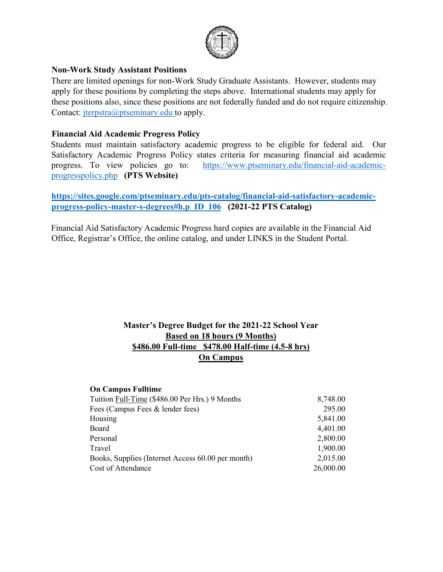

#### **Non-Work Study Assistant Positions**

There are limited openings for non-Work Study Graduate Assistants. However, students may apply for these positions by completing the steps above. International students may apply for these positions also, since these positions are not federally funded and do not require citizenship. Contact: *jterpstra@ptseminary.edu* to apply.

#### **Financial Aid Academic Progress Policy**

Students must maintain satisfactory academic progress to be eligible for federal aid. Our Satisfactory Academic Progress Policy states criteria for measuring financial aid academic progress. To view policies go to:[https://www.ptseminary.edu/financial-aid-academic](https://www.ptseminary.edu/financial-aid-academic-progress-policy.php)[progresspolicy.php](https://www.ptseminary.edu/financial-aid-academic-progress-policy.php) **(PTS Website)** 

#### **[https://sites.google.com/ptseminary.edu/pts-catalog/financial-aid-satisfactory-academic](https://sites.google.com/ptseminary.edu/pts-catalog/financial-aid-satisfactory-academic-progress-policy-master-s-degrees#h.p_ID_106)[progress-policy-master-s-degrees#h.p\\_ID\\_106](https://sites.google.com/ptseminary.edu/pts-catalog/financial-aid-satisfactory-academic-progress-policy-master-s-degrees#h.p_ID_106)****(2021-22 PTS Catalog)**

Financial Aid Satisfactory Academic Progress hard copies are available in the Financial Aid Office, Registrar's Office, the online catalog, and under LINKS in the Student Portal.

#### **Master's Degree Budget for the 2021-22 School Year Based on 18 hours (9 Months) \$486.00 Full-time \$478.00 Half-time (4.5-8 hrs) On Campus**

#### **On Campus Fulltime**

| Tuition Full-Time (\$486.00 Per Hrs.) 9 Months    | 8,748.00  |
|---------------------------------------------------|-----------|
| Fees (Campus Fees & lender fees)                  | 295.00    |
| Housing                                           | 5,841.00  |
| Board                                             | 4,401.00  |
| Personal                                          | 2,800.00  |
| Travel                                            | 1,900.00  |
| Books, Supplies (Internet Access 60.00 per month) | 2,015.00  |
| Cost of Attendance                                | 26,000.00 |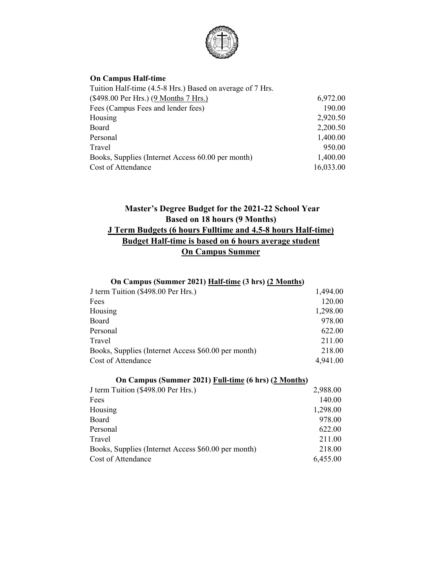

#### **On Campus Half-time**

| Tuition Half-time (4.5-8 Hrs.) Based on average of 7 Hrs. |           |
|-----------------------------------------------------------|-----------|
| (\$498.00 Per Hrs.) (9 Months 7 Hrs.)                     | 6,972.00  |
| Fees (Campus Fees and lender fees)                        | 190.00    |
| Housing                                                   | 2,920.50  |
| Board                                                     | 2,200.50  |
| Personal                                                  | 1,400.00  |
| Travel                                                    | 950.00    |
| Books, Supplies (Internet Access 60.00 per month)         | 1,400.00  |
| Cost of Attendance                                        | 16,033.00 |

## **Master's Degree Budget for the 2021-22 School Year Based on 18 hours (9 Months) J Term Budgets (6 hours Fulltime and 4.5-8 hours Half-time) Budget Half-time is based on 6 hours average student On Campus Summer**

#### **On Campus (Summer 2021) Half-time (3 hrs) (2 Months)**

| J term Tuition (\$498.00 Per Hrs.)                  | 1,494.00 |
|-----------------------------------------------------|----------|
| Fees                                                | 120.00   |
| Housing                                             | 1,298.00 |
| Board                                               | 978.00   |
| Personal                                            | 622.00   |
| Travel                                              | 211.00   |
| Books, Supplies (Internet Access \$60.00 per month) | 218.00   |
| Cost of Attendance                                  | 4,941.00 |

| On Campus (Summer 2021) Full-time (6 hrs) (2 Months) |          |  |
|------------------------------------------------------|----------|--|
| J term Tuition (\$498.00 Per Hrs.)                   | 2,988.00 |  |
| Fees                                                 | 140.00   |  |
| Housing                                              | 1,298.00 |  |
| <b>Board</b>                                         | 978.00   |  |
| Personal                                             | 622.00   |  |
| Travel                                               | 211.00   |  |
| Books, Supplies (Internet Access \$60.00 per month)  | 218.00   |  |
| Cost of Attendance                                   | 6,455.00 |  |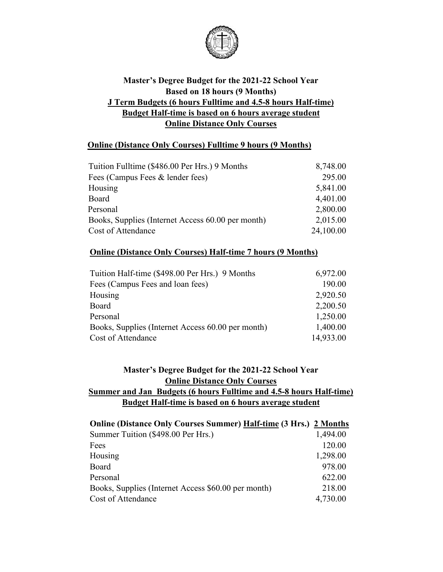

## **Master's Degree Budget for the 2021-22 School Year Based on 18 hours (9 Months) J Term Budgets (6 hours Fulltime and 4.5-8 hours Half-time) Budget Half-time is based on 6 hours average student Online Distance Only Courses**

#### **Online (Distance Only Courses) Fulltime 9 hours (9 Months)**

| Tuition Fulltime (\$486.00 Per Hrs.) 9 Months     | 8,748.00  |
|---------------------------------------------------|-----------|
| Fees (Campus Fees & lender fees)                  | 295.00    |
| Housing                                           | 5,841.00  |
| Board                                             | 4,401.00  |
| Personal                                          | 2,800.00  |
| Books, Supplies (Internet Access 60.00 per month) | 2,015.00  |
| Cost of Attendance                                | 24,100.00 |

#### **Online (Distance Only Courses) Half-time 7 hours (9 Months)**

| Tuition Half-time (\$498.00 Per Hrs.) 9 Months    | 6,972.00  |
|---------------------------------------------------|-----------|
| Fees (Campus Fees and loan fees)                  | 190.00    |
| Housing                                           | 2,920.50  |
| Board                                             | 2,200.50  |
| Personal                                          | 1,250.00  |
| Books, Supplies (Internet Access 60.00 per month) | 1,400.00  |
| Cost of Attendance                                | 14,933.00 |

#### **Master's Degree Budget for the 2021-22 School Year Online Distance Only Courses Summer and Jan Budgets (6 hours Fulltime and 4.5-8 hours Half-time) Budget Half-time is based on 6 hours average student**

| <b>Online (Distance Only Courses Summer) Half-time (3 Hrs.) 2 Months</b> |          |
|--------------------------------------------------------------------------|----------|
| Summer Tuition (\$498.00 Per Hrs.)                                       | 1,494.00 |
| Fees                                                                     | 120.00   |
| Housing                                                                  | 1,298.00 |
| Board                                                                    | 978.00   |
| Personal                                                                 | 622.00   |
| Books, Supplies (Internet Access \$60.00 per month)                      | 218.00   |
| Cost of Attendance                                                       | 4,730.00 |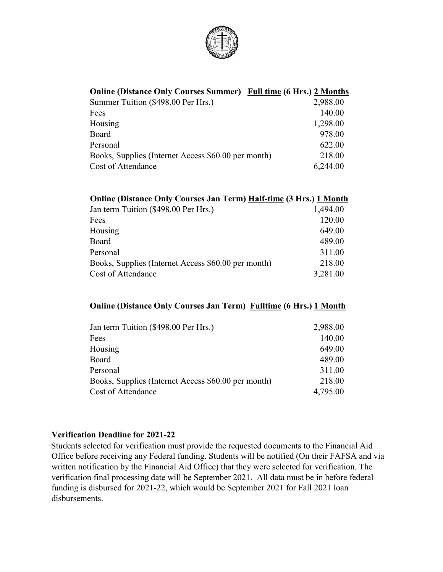

## **Online (Distance Only Courses Summer) Full time (6 Hrs.) 2 Months**

| Summer Tuition (\$498.00 Per Hrs.)                  | 2,988.00 |
|-----------------------------------------------------|----------|
| Fees                                                | 140.00   |
| Housing                                             | 1,298.00 |
| Board                                               | 978.00   |
| Personal                                            | 622.00   |
| Books, Supplies (Internet Access \$60.00 per month) | 218.00   |
| Cost of Attendance                                  | 6,244.00 |

#### **Online (Distance Only Courses Jan Term) Half-time (3 Hrs.) 1 Month**

| Jan term Tuition (\$498.00 Per Hrs.)                | 1,494.00 |
|-----------------------------------------------------|----------|
| Fees                                                | 120.00   |
| Housing                                             | 649.00   |
| Board                                               | 489.00   |
| Personal                                            | 311.00   |
| Books, Supplies (Internet Access \$60.00 per month) | 218.00   |
| Cost of Attendance                                  | 3,281.00 |

#### **Online (Distance Only Courses Jan Term) Fulltime (6 Hrs.) 1 Month**

| Jan term Tuition (\$498.00 Per Hrs.)                | 2,988.00 |
|-----------------------------------------------------|----------|
| Fees                                                | 140.00   |
| Housing                                             | 649.00   |
| Board                                               | 489.00   |
| Personal                                            | 311.00   |
| Books, Supplies (Internet Access \$60.00 per month) | 218.00   |
| Cost of Attendance                                  | 4,795.00 |

#### **Verification Deadline for 2021-22**

Students selected for verification must provide the requested documents to the Financial Aid Office before receiving any Federal funding. Students will be notified (On their FAFSA and via written notification by the Financial Aid Office) that they were selected for verification. The verification final processing date will be September 2021. All data must be in before federal funding is disbursed for 2021-22, which would be September 2021 for Fall 2021 loan disbursements.